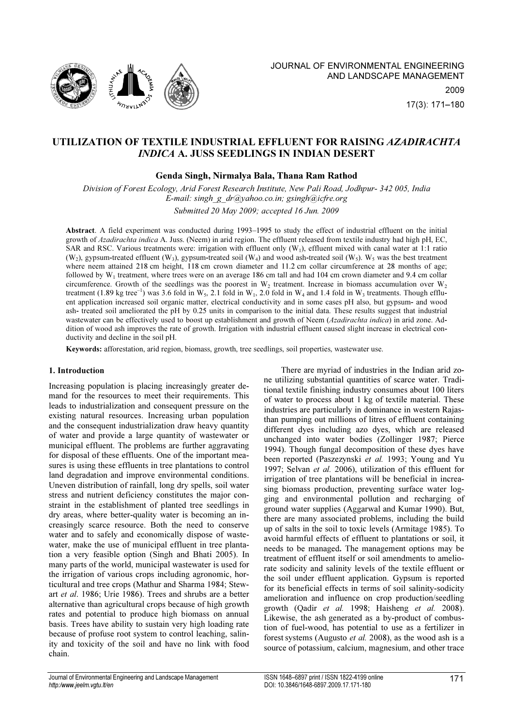

# UTILIZATION OF TEXTILE INDUSTRIAL EFFLUENT FOR RAISING AZADIRACHTA INDICA A. JUSS SEEDLINGS IN INDIAN DESERT

# Genda Singh, Nirmalya Bala, Thana Ram Rathod

Division of Forest Ecology, Arid Forest Research Institute, New Pali Road, Jodhpur- 342 005, India E-mail: singh g dr@yahoo.co.in; gsingh@icfre.org Submitted 20 May 2009; accepted 16 Jun. 2009

Abstract. A field experiment was conducted during 1993–1995 to study the effect of industrial effluent on the initial growth of Azadirachta indica A. Juss. (Neem) in arid region. The effluent released from textile industry had high pH, EC, SAR and RSC. Various treatments were: irrigation with effluent only  $(W_1)$ , effluent mixed with canal water at 1:1 ratio  $(W_2)$ , gypsum-treated effluent  $(W_3)$ , gypsum-treated soil  $(W_4)$  and wood ash-treated soil  $(W_5)$ . W<sub>5</sub> was the best treatment where neem attained 218 cm height, 118 cm crown diameter and 11.2 cm collar circumference at 28 months of age; followed by  $W_1$  treatment, where trees were on an average 186 cm tall and had 104 cm crown diameter and 9.4 cm collar circumference. Growth of the seedlings was the poorest in  $W_2$  treatment. Increase in biomass accumulation over  $W_2$ treatment (1.89 kg tree<sup>-1</sup>) was 3.6 fold in W<sub>5</sub>, 2.1 fold in W<sub>1</sub>, 2.0 fold in W<sub>4</sub> and 1.4 fold in W<sub>3</sub> treatments. Though effluent application increased soil organic matter, electrical conductivity and in some cases pH also, but gypsum- and wood ash- treated soil ameliorated the pH by 0.25 units in comparison to the initial data. These results suggest that industrial wastewater can be effectively used to boost up establishment and growth of Neem (Azadirachta indica) in arid zone. Addition of wood ash improves the rate of growth. Irrigation with industrial effluent caused slight increase in electrical conductivity and decline in the soil pH.

Keywords: afforestation, arid region, biomass, growth, tree seedlings, soil properties, wastewater use.

# 1. Introduction

Increasing population is placing increasingly greater demand for the resources to meet their requirements. This leads to industrialization and consequent pressure on the existing natural resources. Increasing urban population and the consequent industrialization draw heavy quantity of water and provide a large quantity of wastewater or municipal effluent. The problems are further aggravating for disposal of these effluents. One of the important measures is using these effluents in tree plantations to control land degradation and improve environmental conditions. Uneven distribution of rainfall, long dry spells, soil water stress and nutrient deficiency constitutes the major constraint in the establishment of planted tree seedlings in dry areas, where better-quality water is becoming an increasingly scarce resource. Both the need to conserve water and to safely and economically dispose of wastewater, make the use of municipal effluent in tree plantation a very feasible option (Singh and Bhati 2005). In many parts of the world, municipal wastewater is used for the irrigation of various crops including agronomic, horticultural and tree crops (Mathur and Sharma 1984; Stewart et al. 1986; Urie 1986). Trees and shrubs are a better alternative than agricultural crops because of high growth rates and potential to produce high biomass on annual basis. Trees have ability to sustain very high loading rate because of profuse root system to control leaching, salinity and toxicity of the soil and have no link with food chain.

There are myriad of industries in the Indian arid zone utilizing substantial quantities of scarce water. Traditional textile finishing industry consumes about 100 liters of water to process about 1 kg of textile material. These industries are particularly in dominance in western Rajasthan pumping out millions of litres of effluent containing different dyes including azo dyes, which are released unchanged into water bodies (Zollinger 1987; Pierce 1994). Though fungal decomposition of these dyes have been reported (Paszezynski et al. 1993; Young and Yu 1997; Selvan et al. 2006), utilization of this effluent for irrigation of tree plantations will be beneficial in increasing biomass production, preventing surface water logging and environmental pollution and recharging of ground water supplies (Aggarwal and Kumar 1990). But, there are many associated problems, including the build up of salts in the soil to toxic levels (Armitage 1985). To avoid harmful effects of effluent to plantations or soil, it needs to be managed. The management options may be treatment of effluent itself or soil amendments to ameliorate sodicity and salinity levels of the textile effluent or the soil under effluent application. Gypsum is reported for its beneficial effects in terms of soil salinity-sodicity amelioration and influence on crop production/seedling growth (Qadir et al. 1998; Haisheng et al. 2008). Likewise, the ash generated as a by-product of combustion of fuel-wood, has potential to use as a fertilizer in forest systems (Augusto et al. 2008), as the wood ash is a source of potassium, calcium, magnesium, and other trace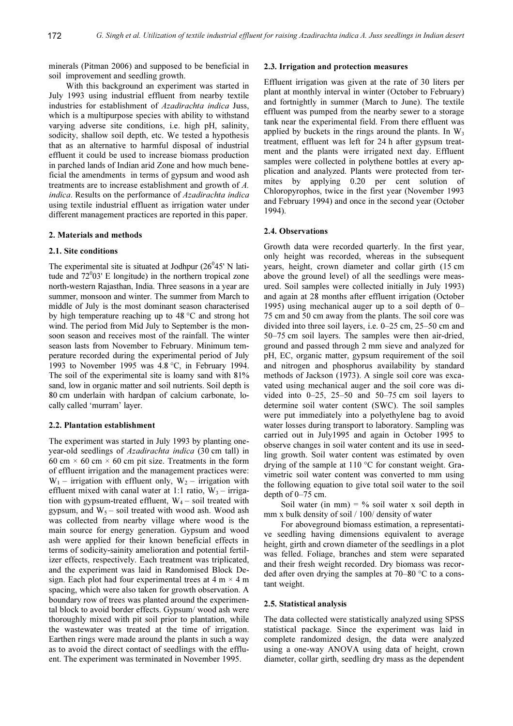minerals (Pitman 2006) and supposed to be beneficial in soil improvement and seedling growth.

With this background an experiment was started in July 1993 using industrial effluent from nearby textile industries for establishment of Azadirachta indica Juss, which is a multipurpose species with ability to withstand varying adverse site conditions, i.e. high pH, salinity, sodicity, shallow soil depth, etc. We tested a hypothesis that as an alternative to harmful disposal of industrial effluent it could be used to increase biomass production in parched lands of Indian arid Zone and how much beneficial the amendments in terms of gypsum and wood ash treatments are to increase establishment and growth of A. indica. Results on the performance of Azadirachta indica using textile industrial effluent as irrigation water under different management practices are reported in this paper.

# 2. Materials and methods

#### 2.1. Site conditions

The experimental site is situated at Jodhpur  $(26<sup>0</sup>45' N)$  latitude and  $72^0$ 03' E longitude) in the northern tropical zone north-western Rajasthan, India. Three seasons in a year are summer, monsoon and winter. The summer from March to middle of July is the most dominant season characterised by high temperature reaching up to 48 °C and strong hot wind. The period from Mid July to September is the monsoon season and receives most of the rainfall. The winter season lasts from November to February. Minimum temperature recorded during the experimental period of July 1993 to November 1995 was 4.8 °C, in February 1994. The soil of the experimental site is loamy sand with 81% sand, low in organic matter and soil nutrients. Soil depth is 80 cm underlain with hardpan of calcium carbonate, locally called 'murram' layer.

## 2.2. Plantation establishment

The experiment was started in July 1993 by planting oneyear-old seedlings of Azadirachta indica (30 cm tall) in 60 cm  $\times$  60 cm  $\times$  60 cm pit size. Treatments in the form of effluent irrigation and the management practices were:  $W_1$  – irrigation with effluent only,  $W_2$  – irrigation with effluent mixed with canal water at 1:1 ratio,  $W_3$  – irrigation with gypsum-treated effluent,  $W_4$  – soil treated with gypsum, and  $W_5$  – soil treated with wood ash. Wood ash was collected from nearby village where wood is the main source for energy generation. Gypsum and wood ash were applied for their known beneficial effects in terms of sodicity-sainity amelioration and potential fertilizer effects, respectively. Each treatment was triplicated, and the experiment was laid in Randomised Block Design. Each plot had four experimental trees at  $4 \text{ m} \times 4 \text{ m}$ spacing, which were also taken for growth observation. A boundary row of trees was planted around the experimental block to avoid border effects. Gypsum/ wood ash were thoroughly mixed with pit soil prior to plantation, while the wastewater was treated at the time of irrigation. Earthen rings were made around the plants in such a way as to avoid the direct contact of seedlings with the effluent. The experiment was terminated in November 1995.

## 2.3. Irrigation and protection measures

Effluent irrigation was given at the rate of 30 liters per plant at monthly interval in winter (October to February) and fortnightly in summer (March to June). The textile effluent was pumped from the nearby sewer to a storage tank near the experimental field. From there effluent was applied by buckets in the rings around the plants. In  $W_3$ treatment, effluent was left for 24 h after gypsum treatment and the plants were irrigated next day. Effluent samples were collected in polythene bottles at every application and analyzed. Plants were protected from termites by applying 0.20 per cent solution of Chloropyrophos, twice in the first year (November 1993 and February 1994) and once in the second year (October 1994).

# 2.4. Observations

Growth data were recorded quarterly. In the first year, only height was recorded, whereas in the subsequent years, height, crown diameter and collar girth (15 cm above the ground level) of all the seedlings were measured. Soil samples were collected initially in July 1993) and again at 28 months after effluent irrigation (October 1995) using mechanical auger up to a soil depth of 0– 75 cm and 50 cm away from the plants. The soil core was divided into three soil layers, i.e. 0–25 cm, 25–50 cm and 50–75 cm soil layers. The samples were then air-dried, ground and passed through 2 mm sieve and analyzed for pH, EC, organic matter, gypsum requirement of the soil and nitrogen and phosphorus availability by standard methods of Jackson (1973). A single soil core was excavated using mechanical auger and the soil core was divided into 0–25, 25–50 and 50–75 cm soil layers to determine soil water content (SWC). The soil samples were put immediately into a polyethylene bag to avoid water losses during transport to laboratory. Sampling was carried out in July1995 and again in October 1995 to observe changes in soil water content and its use in seedling growth. Soil water content was estimated by oven drying of the sample at 110 °C for constant weight. Gravimetric soil water content was converted to mm using the following equation to give total soil water to the soil depth of 0–75 cm.

Soil water (in mm) =  $\%$  soil water x soil depth in mm x bulk density of soil / 100/ density of water

For aboveground biomass estimation, a representative seedling having dimensions equivalent to average height, girth and crown diameter of the seedlings in a plot was felled. Foliage, branches and stem were separated and their fresh weight recorded. Dry biomass was recorded after oven drying the samples at 70–80 °C to a constant weight.

#### 2.5. Statistical analysis

The data collected were statistically analyzed using SPSS statistical package. Since the experiment was laid in complete randomized design, the data were analyzed using a one-way ANOVA using data of height, crown diameter, collar girth, seedling dry mass as the dependent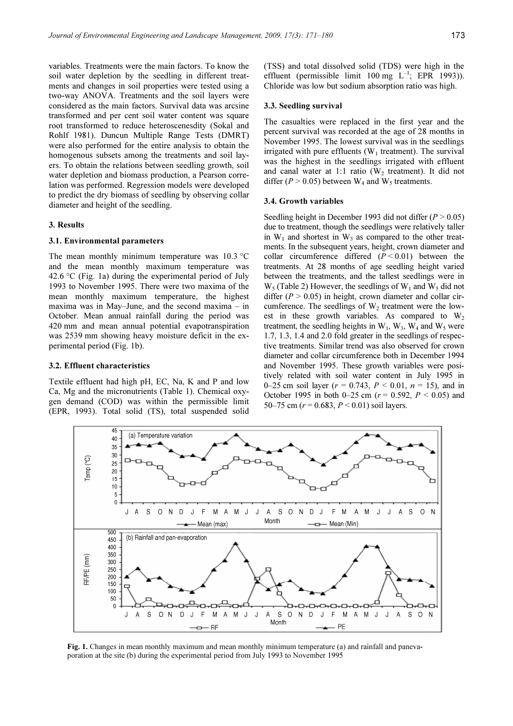variables. Treatments were the main factors. To know the soil water depletion by the seedling in different treatments and changes in soil properties were tested using a two-way ANOVA. Treatments and the soil layers were considered as the main factors. Survival data was arcsine transformed and per cent soil water content was square root transformed to reduce heteroscenesdity (Sokal and Rohlf 1981). Duncun Multiple Range Tests (DMRT) were also performed for the entire analysis to obtain the homogenous subsets among the treatments and soil layers. To obtain the relations between seedling growth, soil water depletion and biomass production, a Pearson correlation was performed. Regression models were developed to predict the dry biomass of seedling by observing collar diameter and height of the seedling.

# 3. Results

# 3.1. Environmental parameters

The mean monthly minimum temperature was  $10.3 \text{°C}$ and the mean monthly maximum temperature was 42.6  $\degree$ C (Fig. 1a) during the experimental period of July 1993 to November 1995. There were two maxima of the mean monthly maximum temperature, the highest maxima was in May–June, and the second maxima – in October. Mean annual rainfall during the period was 420 mm and mean annual potential evapotranspiration was 2539 mm showing heavy moisture deficit in the experimental period (Fig. 1b).

# 3.2. Effluent characteristics

Textile effluent had high pH, EC, Na, K and P and low Ca, Mg and the micronutrients (Table 1). Chemical oxygen demand (COD) was within the permissible limit (EPR, 1993). Total solid (TS), total suspended solid

#### 3.3. Seedling survival

The casualties were replaced in the first year and the percent survival was recorded at the age of 28 months in November 1995. The lowest survival was in the seedlings irrigated with pure effluents  $(W_1$  treatment). The survival was the highest in the seedlings irrigated with effluent and canal water at 1:1 ratio  $(W<sub>2</sub>)$  treatment). It did not differ ( $P > 0.05$ ) between W<sub>4</sub> and W<sub>5</sub> treatments.

## 3.4. Growth variables

Seedling height in December 1993 did not differ ( $P > 0.05$ ) due to treatment, though the seedlings were relatively taller in  $W_1$  and shortest in  $W_3$  as compared to the other treatments. In the subsequent years, height, crown diameter and collar circumference differed  $(P < 0.01)$  between the treatments. At 28 months of age seedling height varied between the treatments, and the tallest seedlings were in  $W_5$  (Table 2) However, the seedlings of  $W_1$  and  $W_5$  did not differ ( $P > 0.05$ ) in height, crown diameter and collar circumference. The seedlings of  $W_2$  treatment were the lowest in these growth variables. As compared to  $W_2$ treatment, the seedling heights in  $W_1$ ,  $W_3$ ,  $W_4$  and  $W_5$  were 1.7, 1.3, 1.4 and 2.0 fold greater in the seedlings of respective treatments. Similar trend was also observed for crown diameter and collar circumference both in December 1994 and November 1995. These growth variables were positively related with soil water content in July 1995 in 0–25 cm soil layer ( $r = 0.743$ ,  $P < 0.01$ ,  $n = 15$ ), and in October 1995 in both 0–25 cm ( $r = 0.592$ ,  $P < 0.05$ ) and 50–75 cm ( $r = 0.683$ ,  $P \le 0.01$ ) soil layers.



Fig. 1. Changes in mean monthly maximum and mean monthly minimum temperature (a) and rainfall and panevaporation at the site (b) during the experimental period from July 1993 to November 1995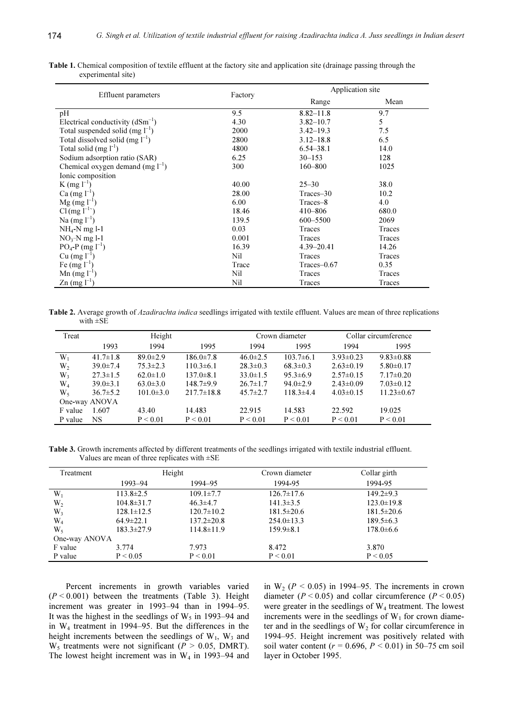| <b>Effluent</b> parameters            | Factory |                 | Application site |  |  |
|---------------------------------------|---------|-----------------|------------------|--|--|
|                                       |         | Range           | Mean             |  |  |
| pH                                    | 9.5     | $8.82 - 11.8$   | 9.7              |  |  |
| Electrical conductivity $(dSm^{-1})$  | 4.30    | $3.82 - 10.7$   | 5                |  |  |
| Total suspended solid (mg $1^{-1}$ )  | 2000    | $3.42 - 19.3$   | 7.5              |  |  |
| Total dissolved solid $(mg l^{-1})$   | 2800    | $3.12 - 18.8$   | 6.5              |  |  |
| Total solid $(mg l^{-1})$             | 4800    | $6.54 - 38.1$   | 14.0             |  |  |
| Sodium adsorption ratio (SAR)         | 6.25    | $30 - 153$      | 128              |  |  |
| Chemical oxygen demand (mg $l^{-1}$ ) | 300     | $160 - 800$     | 1025             |  |  |
| Ionic composition                     |         |                 |                  |  |  |
| K (mg $l^{-1}$ )                      | 40.00   | $25 - 30$       | 38.0             |  |  |
| $Ca (mg l^{-1})$                      | 28.00   | Traces-30       | 10.2             |  |  |
| $Mg$ (mg $l^{-1}$ )                   | 6.00    | Traces-8        | 4.0              |  |  |
| $Cl(mg l^{-1})$                       | 18.46   | 410-806         | 680.0            |  |  |
| Na $(mg l^{-1})$                      | 139.5   | 600-5500        | 2069             |  |  |
| $NH_4-N$ mg l-1                       | 0.03    | Traces          | Traces           |  |  |
| $NO3-N$ mg l-1                        | 0.001   | Traces          | Traces           |  |  |
| $PO_4$ -P (mg $l^{-1}$ )              | 16.39   | $4.39 - 20.41$  | 14.26            |  |  |
| Cu $(mg l^{-1})$                      | Nil     | Traces          | Traces           |  |  |
| Fe $(mg l^{-1})$                      | Trace   | $Traces - 0.67$ | 0.35             |  |  |
| Mn $(mg l^{-1})$                      | Nil     | Traces          | Traces           |  |  |
| $\text{Zn}$ (mg $l^{-1}$ )            | Nil     | Traces          | Traces           |  |  |

Table 1. Chemical composition of textile effluent at the factory site and application site (drainage passing through the experimental site)

Table 2. Average growth of Azadirachta indica seedlings irrigated with textile effluent. Values are mean of three replications with ±SE

| Treat            |                | Height          |                 |                | Crown diameter  |                 | Collar circumference |
|------------------|----------------|-----------------|-----------------|----------------|-----------------|-----------------|----------------------|
|                  | 1993           | 1994            | 1995            | 1994           | 1995            | 1994            | 1995                 |
| $W_1$            | $41.7 \pm 1.8$ | $89.0 \pm 2.9$  | $186.0 \pm 7.8$ | $46.0 \pm 2.5$ | $103.7\pm 6.1$  | $3.93 \pm 0.23$ | $9.83 \pm 0.88$      |
| W <sub>2</sub>   | $39.0 \pm 7.4$ | $75.3 \pm 2.3$  | $110.3 \pm 6.1$ | $28.3 \pm 0.3$ | $68.3 \pm 0.3$  | $2.63 \pm 0.19$ | $5.80 \pm 0.17$      |
| $W_3$            | $27.3 \pm 1.5$ | $62.0 \pm 1.0$  | $137.0 \pm 8.1$ | $33.0 \pm 1.5$ | $95.3 \pm 6.9$  | $2.57\pm0.15$   | $7.17 \pm 0.20$      |
| $\mathrm{W}_{4}$ | $39.0 \pm 3.1$ | $63.0 \pm 3.0$  | $148.7\pm9.9$   | $26.7 \pm 1.7$ | $94.0 \pm 2.9$  | $2.43 \pm 0.09$ | $7.03 \pm 0.12$      |
| W٢               | $36.7 \pm 5.2$ | $101.0 \pm 3.0$ | $217.7\pm18.8$  | $45.7 \pm 2.7$ | $118.3 \pm 4.4$ | $4.03\pm0.15$   | $11.23 \pm 0.67$     |
|                  | One-way ANOVA  |                 |                 |                |                 |                 |                      |
| F value          | 1.607          | 43.40           | 14.483          | 22.915         | 14.583          | 22.592          | 19.025               |
| P value          | NS             | P < 0.01        | P < 0.01        | P < 0.01       | P < 0.01        | P < 0.01        | P < 0.01             |

Table 3. Growth increments affected by different treatments of the seedlings irrigated with textile industrial effluent. Values are mean of three replicates with ±SE

| Treatment     |                  | Height           | Crown diameter   | Collar girth     |
|---------------|------------------|------------------|------------------|------------------|
|               | 1993–94          | 1994–95          | 1994-95          | 1994-95          |
| $W_1$         | $113.8 \pm 2.5$  | $109.1 \pm 7.7$  | $126.7 \pm 17.6$ | $149.2 \pm 9.3$  |
| $W_2$         | $104.8 \pm 31.7$ | $46.3 \pm 4.7$   | $141.3 \pm 3.5$  | $123.0 \pm 19.8$ |
| $W_3$         | $128.1 \pm 12.5$ | $120.7 \pm 10.2$ | $181.5 \pm 20.6$ | $181.5 \pm 20.6$ |
| $W_4$         | $64.9 \pm 22.1$  | $137.2 \pm 20.8$ | $254.0 \pm 13.3$ | $189.5 \pm 6.3$  |
| W,            | $183.3 \pm 27.9$ | $114.8 \pm 11.9$ | $159.9 \pm 8.1$  | $178.0 \pm 6.6$  |
| One-way ANOVA |                  |                  |                  |                  |
| F value       | 3.774            | 7.973            | 8.472            | 3.870            |
| P value       | P < 0.05         | P < 0.01         | P < 0.01         | P < 0.05         |

Percent increments in growth variables varied  $(P < 0.001)$  between the treatments (Table 3). Height increment was greater in 1993–94 than in 1994–95. It was the highest in the seedlings of  $W_5$  in 1993–94 and in W4 treatment in 1994–95. But the differences in the height increments between the seedlings of  $W_1$ ,  $W_3$  and  $W_5$  treatments were not significant ( $P > 0.05$ , DMRT). The lowest height increment was in  $W_4$  in 1993–94 and in  $W_2$  ( $P < 0.05$ ) in 1994–95. The increments in crown diameter ( $P < 0.05$ ) and collar circumference ( $P < 0.05$ ) were greater in the seedlings of  $W_4$  treatment. The lowest increments were in the seedlings of  $W_1$  for crown diameter and in the seedlings of  $W_2$  for collar circumference in 1994–95. Height increment was positively related with soil water content ( $r = 0.696$ ,  $P < 0.01$ ) in 50–75 cm soil layer in October 1995.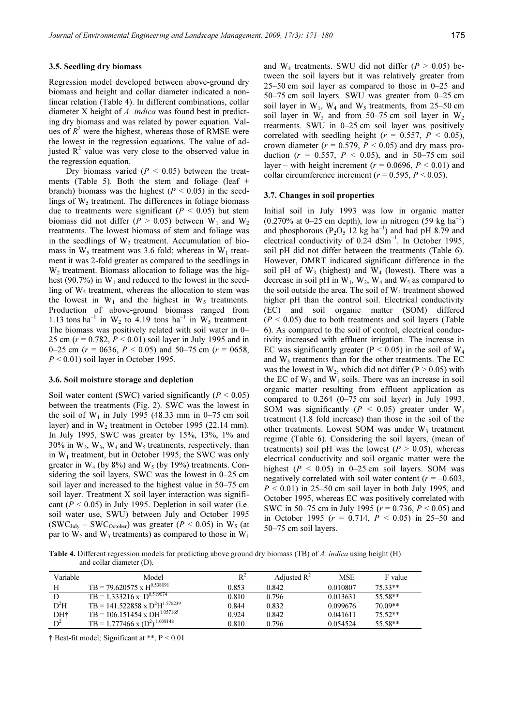#### 3.5. Seedling dry biomass

Regression model developed between above-ground dry biomass and height and collar diameter indicated a nonlinear relation (Table 4). In different combinations, collar diameter X height of A. indica was found best in predicting dry biomass and was related by power equation. Values of  $R^2$  were the highest, whereas those of RMSE were the lowest in the regression equations. The value of adjusted  $R<sup>2</sup>$  value was very close to the observed value in the regression equation.

Dry biomass varied ( $P < 0.05$ ) between the treatments (Table 5). Both the stem and foliage (leaf + branch) biomass was the highest ( $P < 0.05$ ) in the seedlings of  $W_5$  treatment. The differences in foliage biomass due to treatments were significant ( $P < 0.05$ ) but stem biomass did not differ ( $P > 0.05$ ) between W<sub>1</sub> and W<sub>2</sub> treatments. The lowest biomass of stem and foliage was in the seedlings of  $W_2$  treatment. Accumulation of biomass in  $W_5$  treatment was 3.6 fold; whereas in  $W_1$  treatment it was 2-fold greater as compared to the seedlings in W<sub>2</sub> treatment. Biomass allocation to foliage was the highest (90.7%) in  $W_1$  and reduced to the lowest in the seedling of  $W_5$  treatment, whereas the allocation to stem was the lowest in  $W_1$  and the highest in  $W_5$  treatments. Production of above-ground biomass ranged from 1.13 tons ha<sup>-1</sup> in W<sub>2</sub> to 4.19 tons ha<sup>-1</sup> in W<sub>5</sub> treatment. The biomass was positively related with soil water in 0– 25 cm ( $r = 0.782$ ,  $P < 0.01$ ) soil layer in July 1995 and in 0–25 cm ( $r = 0.056$ ,  $P \le 0.05$ ) and 50–75 cm ( $r = 0.058$ ,  $P < 0.01$ ) soil layer in October 1995.

### 3.6. Soil moisture storage and depletion

Soil water content (SWC) varied significantly ( $P < 0.05$ ) between the treatments (Fig. 2). SWC was the lowest in the soil of  $W_1$  in July 1995 (48.33 mm in 0–75 cm soil layer) and in  $W_2$  treatment in October 1995 (22.14 mm). In July 1995, SWC was greater by 15%, 13%, 1% and 30% in  $W_2$ ,  $W_3$ ,  $W_4$  and  $W_5$  treatments, respectively, than in  $W_1$  treatment, but in October 1995, the SWC was only greater in  $W_4$  (by 8%) and  $W_5$  (by 19%) treatments. Considering the soil layers, SWC was the lowest in 0–25 cm soil layer and increased to the highest value in 50–75 cm soil layer. Treatment X soil layer interaction was significant ( $P < 0.05$ ) in July 1995. Depletion in soil water (i.e. soil water use, SWU) between July and October 1995  $(SWC<sub>July</sub> - SWC<sub>October</sub>)$  was greater ( $P < 0.05$ ) in W<sub>5</sub> (at par to  $W_2$  and  $W_3$  treatments) as compared to those in  $W_1$ 

and  $W_4$  treatments. SWU did not differ ( $P > 0.05$ ) between the soil layers but it was relatively greater from 25–50 cm soil layer as compared to those in 0–25 and 50–75 cm soil layers. SWU was greater from 0–25 cm soil layer in  $W_1$ ,  $W_4$  and  $W_5$  treatments, from 25–50 cm soil layer in  $W_3$  and from 50–75 cm soil layer in  $W_2$ treatments. SWU in 0–25 cm soil layer was positively correlated with seedling height ( $r = 0.557$ ,  $P \le 0.05$ ), crown diameter ( $r = 0.579$ ,  $P \le 0.05$ ) and dry mass production ( $r = 0.557$ ,  $P < 0.05$ ), and in 50–75 cm soil layer – with height increment ( $r = 0.0696$ ,  $P \le 0.01$ ) and collar circumference increment ( $r = 0.595$ ,  $P \le 0.05$ ).

#### 3.7. Changes in soil properties

Initial soil in July 1993 was low in organic matter  $(0.270\%$  at 0–25 cm depth), low in nitrogen (59 kg ha<sup>-1</sup>) and phosphorous ( $P_2O_5$  12 kg ha<sup>-1</sup>) and had pH 8.79 and electrical conductivity of  $0.24$  dSm<sup>-1</sup>. In October 1995, soil pH did not differ between the treatments (Table 6). However, DMRT indicated significant difference in the soil pH of  $W_3$  (highest) and  $W_4$  (lowest). There was a decrease in soil pH in  $W_1$ ,  $W_2$ ,  $W_4$  and  $W_5$  as compared to the soil outside the area. The soil of  $W_3$  treatment showed higher pH than the control soil. Electrical conductivity (EC) and soil organic matter (SOM) differed  $(P < 0.05)$  due to both treatments and soil layers (Table 6). As compared to the soil of control, electrical conductivity increased with effluent irrigation. The increase in EC was significantly greater ( $P < 0.05$ ) in the soil of  $W_4$ and  $W_5$  treatments than for the other treatments. The EC was the lowest in  $W_2$ , which did not differ (P  $> 0.05$ ) with the EC of  $W_3$  and  $W_1$  soils. There was an increase in soil organic matter resulting from effluent application as compared to  $0.264$  (0–75 cm soil layer) in July 1993. SOM was significantly ( $P < 0.05$ ) greater under W<sub>1</sub> treatment (1.8 fold increase) than those in the soil of the other treatments. Lowest SOM was under  $W_3$  treatment regime (Table 6). Considering the soil layers, (mean of treatments) soil pH was the lowest ( $P > 0.05$ ), whereas electrical conductivity and soil organic matter were the highest ( $P < 0.05$ ) in 0–25 cm soil layers. SOM was negatively correlated with soil water content ( $r = -0.603$ ,  $P < 0.01$ ) in 25–50 cm soil layer in both July 1995, and October 1995, whereas EC was positively correlated with SWC in 50–75 cm in July 1995 ( $r = 0.736$ ,  $P \le 0.05$ ) and in October 1995 ( $r = 0.714$ ,  $P < 0.05$ ) in 25–50 and 50–75 cm soil layers.

Table 4. Different regression models for predicting above ground dry biomass (TB) of A. indica using height (H) and collar diameter (D).

| Variable | Model                                           | $R^2$ | Adjusted $R^2$ | <b>MSE</b> | F value   |
|----------|-------------------------------------------------|-------|----------------|------------|-----------|
|          | $TB = 79.620575 \times \overline{H^{0.538091}}$ | 0.853 | 0.842          | 0.010807   | $75.33**$ |
|          | $TB = 1.333216 \times D^{0.519074}$             | 0.810 | 0.796          | 0.013631   | 55.58**   |
| $D^2H$   | $TB = 141.522858 \times D^2H^{1.576239}$        | 0.844 | 0.832          | 0.099676   | $70.09**$ |
| DH†      | $TB = 106.151454 \times DH^{1.057165}$          | 0.924 | 0.842          | 0.041611   | $75.52**$ |
| $D^2$    | $TB = 1.777466 \times (D^2)^{1.038148}$         | 0.810 | 0.796          | 0.054524   | 55.58**   |

† Best-fit model; Significant at \*\*, P < 0.01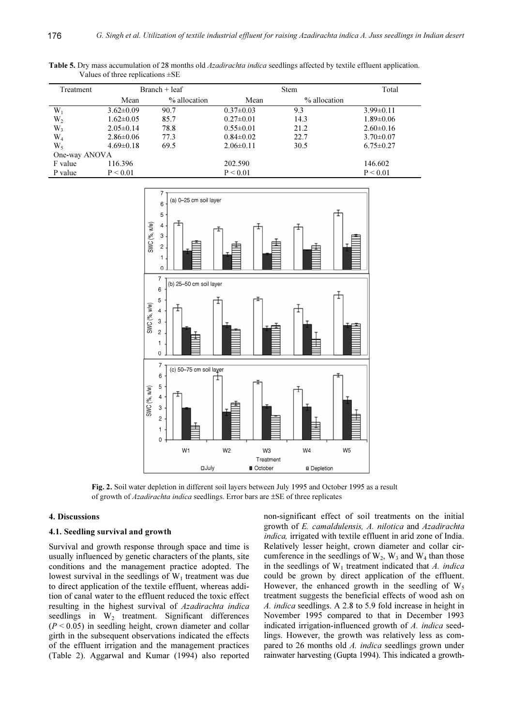| Treatment      | $Branch + leaf$ |              | <b>Stem</b>     |              | Total           |
|----------------|-----------------|--------------|-----------------|--------------|-----------------|
|                | Mean            | % allocation | Mean            | % allocation |                 |
| $W_1$          | $3.62 \pm 0.09$ | 90.7         | $0.37 \pm 0.03$ | 9.3          | $3.99 \pm 0.11$ |
| $W_2$          | $1.62 \pm 0.05$ | 85.7         | $0.27 \pm 0.01$ | 14.3         | $1.89 \pm 0.06$ |
| W <sub>3</sub> | $2.05 \pm 0.14$ | 78.8         | $0.55 \pm 0.01$ | 21.2         | $2.60 \pm 0.16$ |
| W4             | $2.86 \pm 0.06$ | 77.3         | $0.84 \pm 0.02$ | 22.7         | $3.70 \pm 0.07$ |
| W,             | $4.69 \pm 0.18$ | 69.5         | $2.06\pm0.11$   | 30.5         | $6.75 \pm 0.27$ |
| One-way ANOVA  |                 |              |                 |              |                 |
| F value        | 116.396         |              | 202.590         |              | 146.602         |
| P value        | P < 0.01        |              | P < 0.01        |              | P < 0.01        |

Table 5. Dry mass accumulation of 28 months old *Azadirachta indica* seedlings affected by textile effluent application. Values of three replications ±SE



Fig. 2. Soil water depletion in different soil layers between July 1995 and October 1995 as a result of growth of Azadirachta indica seedlings. Error bars are ±SE of three replicates

## 4. Discussions

# 4.1. Seedling survival and growth

Survival and growth response through space and time is usually influenced by genetic characters of the plants, site conditions and the management practice adopted. The lowest survival in the seedlings of  $W_1$  treatment was due to direct application of the textile effluent, whereas addition of canal water to the effluent reduced the toxic effect resulting in the highest survival of Azadirachta indica seedlings in  $W_2$  treatment. Significant differences  $(P < 0.05)$  in seedling height, crown diameter and collar girth in the subsequent observations indicated the effects of the effluent irrigation and the management practices (Table 2). Aggarwal and Kumar (1994) also reported non-significant effect of soil treatments on the initial growth of E. camaldulensis, A. nilotica and Azadirachta indica, irrigated with textile effluent in arid zone of India. Relatively lesser height, crown diameter and collar circumference in the seedlings of  $W_2$ ,  $W_3$  and  $W_4$  than those in the seedlings of  $W_1$  treatment indicated that A. indica could be grown by direct application of the effluent. However, the enhanced growth in the seedling of  $W_5$ treatment suggests the beneficial effects of wood ash on A. indica seedlings. A 2.8 to 5.9 fold increase in height in November 1995 compared to that in December 1993 indicated irrigation-influenced growth of A. indica seedlings. However, the growth was relatively less as compared to 26 months old A. indica seedlings grown under rainwater harvesting (Gupta 1994). This indicated a growth-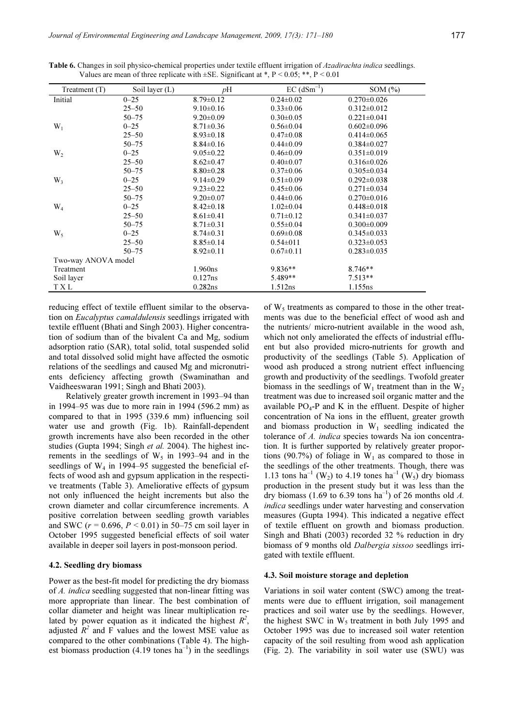| Treatment $(T)$     | Soil layer (L) | рH              | $EC$ (dSm <sup>-1</sup> ) | SOM(%)              |  |
|---------------------|----------------|-----------------|---------------------------|---------------------|--|
| Initial             | $0 - 25$       | $8.79 \pm 0.12$ | $0.24 \pm 0.02$           | $0.270 \pm 0.026$   |  |
|                     | $25 - 50$      | $9.10\pm0.16$   | $0.33 \pm 0.06$           | $0.312 \pm 0.012$   |  |
|                     | $50 - 75$      | $9.20 \pm 0.09$ | $0.30 \pm 0.05$           | $0.221 \pm 0.041$   |  |
| $W_1$               | $0 - 25$       | $8.71 \pm 0.36$ | $0.56 \pm 0.04$           | $0.602 \pm 0.096$   |  |
|                     | $25 - 50$      | $8.93 \pm 0.18$ | $0.47 \pm 0.08$           | $0.414 \pm 0.065$   |  |
|                     | $50 - 75$      | $8.84 \pm 0.16$ | $0.44 \pm 0.09$           | $0.384 \pm 0.027$   |  |
| $W_2$               | $0 - 25$       | $9.05 \pm 0.22$ | $0.46 \pm 0.09$           | $0.351 \pm 0.019$   |  |
|                     | $25 - 50$      | $8.62 \pm 0.47$ | $0.40 \pm 0.07$           | $0.316 \pm 0.026$   |  |
|                     | $50 - 75$      | $8.80 \pm 0.28$ | $0.37 \pm 0.06$           | $0.305 \pm 0.034$   |  |
| $W_3$               | $0 - 25$       | $9.14 \pm 0.29$ | $0.51 \pm 0.09$           | $0.292 \pm 0.038$   |  |
|                     | $25 - 50$      | $9.23 \pm 0.22$ | $0.45 \pm 0.06$           | $0.271 \pm 0.034$   |  |
|                     | $50 - 75$      | $9.20 \pm 0.07$ | $0.44 \pm 0.06$           | $0.270 \pm 0.016$   |  |
| $W_4$               | $0 - 25$       | $8.42 \pm 0.18$ | $1.02 \pm 0.04$           | $0.448 \pm 0.018$   |  |
|                     | $25 - 50$      | $8.61 \pm 0.41$ | $0.71 \pm 0.12$           | $0.341 \pm 0.037$   |  |
|                     | $50 - 75$      | $8.71 \pm 0.31$ | $0.55 \pm 0.04$           | $0.300 \pm 0.009$   |  |
| $W_5$               | $0 - 25$       | $8.74 \pm 0.31$ | $0.69 \pm 0.08$           | $0.345 \pm 0.033$   |  |
|                     | $25 - 50$      | $8.85 \pm 0.14$ | $0.54 \pm 011$            | $0.323 \pm 0.053$   |  |
|                     | $50 - 75$      | $8.92 \pm 0.11$ | $0.67 \pm 0.11$           | $0.283 \pm 0.035$   |  |
| Two-way ANOVA model |                |                 |                           |                     |  |
| Treatment           |                | 1.960ns         | $9.836**$                 | $8.746**$           |  |
| Soil layer          |                | 0.127ns         | 5.489**                   | $7.513**$           |  |
| T X L               |                | 0.282ns         | 1.512ns                   | 1.155 <sub>ns</sub> |  |

Table 6. Changes in soil physico-chemical properties under textile effluent irrigation of *Azadirachta indica* seedlings. Values are mean of three replicate with  $\pm$ SE. Significant at \*, P < 0.05; \*\*, P < 0.01

reducing effect of textile effluent similar to the observation on Eucalyptus camaldulensis seedlings irrigated with textile effluent (Bhati and Singh 2003). Higher concentration of sodium than of the bivalent Ca and Mg, sodium adsorption ratio (SAR), total solid, total suspended solid and total dissolved solid might have affected the osmotic relations of the seedlings and caused Mg and micronutrients deficiency affecting growth (Swaminathan and Vaidheeswaran 1991; Singh and Bhati 2003).

Relatively greater growth increment in 1993–94 than in 1994–95 was due to more rain in 1994 (596.2 mm) as compared to that in 1995 (339.6 mm) influencing soil water use and growth (Fig. 1b). Rainfall-dependent growth increments have also been recorded in the other studies (Gupta 1994; Singh et al. 2004). The highest increments in the seedlings of  $W_5$  in 1993–94 and in the seedlings of W4 in 1994–95 suggested the beneficial effects of wood ash and gypsum application in the respective treatments (Table 3). Ameliorative effects of gypsum not only influenced the height increments but also the crown diameter and collar circumference increments. A positive correlation between seedling growth variables and SWC ( $r = 0.696$ ,  $P \le 0.01$ ) in 50–75 cm soil layer in October 1995 suggested beneficial effects of soil water available in deeper soil layers in post-monsoon period.

## 4.2. Seedling dry biomass

Power as the best-fit model for predicting the dry biomass of A. indica seedling suggested that non-linear fitting was more appropriate than linear. The best combination of collar diameter and height was linear multiplication related by power equation as it indicated the highest  $R^2$ , adjusted  $\overrightarrow{R}^2$  and F values and the lowest MSE value as compared to the other combinations (Table 4). The highest biomass production  $(4.19 \text{ tones ha}^{-1})$  in the seedlings

of  $W_5$  treatments as compared to those in the other treatments was due to the beneficial effect of wood ash and the nutrients/ micro-nutrient available in the wood ash, which not only ameliorated the effects of industrial effluent but also provided micro-nutrients for growth and productivity of the seedlings (Table 5). Application of wood ash produced a strong nutrient effect influencing growth and productivity of the seedlings. Twofold greater biomass in the seedlings of  $W_1$  treatment than in the  $W_2$ treatment was due to increased soil organic matter and the available  $PO_4$ -P and K in the effluent. Despite of higher concentration of Na ions in the effluent, greater growth and biomass production in  $W_1$  seedling indicated the tolerance of A. indica species towards Na ion concentration. It is further supported by relatively greater proportions (90.7%) of foliage in  $W_1$  as compared to those in the seedlings of the other treatments. Though, there was 1.13 tons ha<sup>-1</sup> (W<sub>2</sub>) to 4.19 tones ha<sup>-1</sup> (W<sub>5</sub>) dry biomass production in the present study but it was less than the dry biomass (1.69 to 6.39 tons ha<sup>-1</sup>) of 26 months old A. indica seedlings under water harvesting and conservation measures (Gupta 1994). This indicated a negative effect of textile effluent on growth and biomass production. Singh and Bhati (2003) recorded 32 % reduction in dry biomass of 9 months old Dalbergia sissoo seedlings irrigated with textile effluent.

#### 4.3. Soil moisture storage and depletion

Variations in soil water content (SWC) among the treatments were due to effluent irrigation, soil management practices and soil water use by the seedlings. However, the highest SWC in  $W_5$  treatment in both July 1995 and October 1995 was due to increased soil water retention capacity of the soil resulting from wood ash application (Fig. 2). The variability in soil water use (SWU) was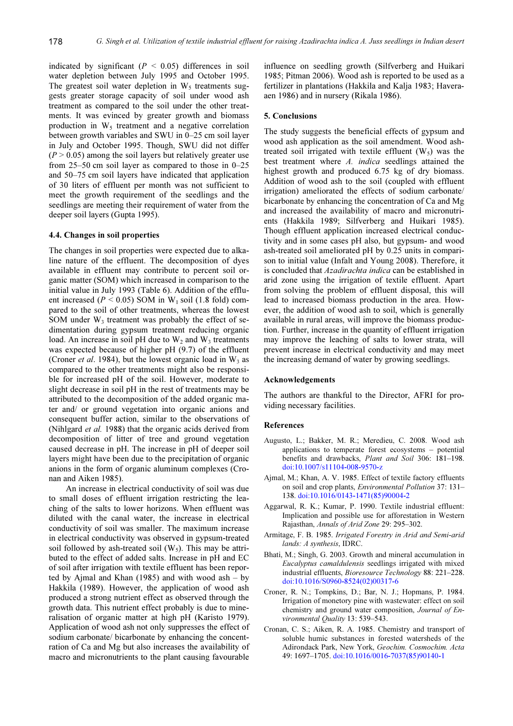indicated by significant ( $P < 0.05$ ) differences in soil water depletion between July 1995 and October 1995. The greatest soil water depletion in  $W_5$  treatments suggests greater storage capacity of soil under wood ash treatment as compared to the soil under the other treatments. It was evinced by greater growth and biomass production in  $W_5$  treatment and a negative correlation between growth variables and SWU in 0–25 cm soil layer in July and October 1995. Though, SWU did not differ  $(P > 0.05)$  among the soil layers but relatively greater use from 25–50 cm soil layer as compared to those in 0–25 and 50–75 cm soil layers have indicated that application of 30 liters of effluent per month was not sufficient to meet the growth requirement of the seedlings and the seedlings are meeting their requirement of water from the deeper soil layers (Gupta 1995).

# 4.4. Changes in soil properties

The changes in soil properties were expected due to alkaline nature of the effluent. The decomposition of dyes available in effluent may contribute to percent soil organic matter (SOM) which increased in comparison to the initial value in July 1993 (Table 6). Addition of the effluent increased ( $P < 0.05$ ) SOM in W<sub>1</sub> soil (1.8 fold) compared to the soil of other treatments, whereas the lowest SOM under  $W_3$  treatment was probably the effect of sedimentation during gypsum treatment reducing organic load. An increase in soil pH due to  $W_2$  and  $W_3$  treatments was expected because of higher pH (9.7) of the effluent (Croner *et al.* 1984), but the lowest organic load in  $W_3$  as compared to the other treatments might also be responsible for increased pH of the soil. However, moderate to slight decrease in soil pH in the rest of treatments may be attributed to the decomposition of the added organic mater and/ or ground vegetation into organic anions and consequent buffer action, similar to the observations of (Nihlgard et al. 1988) that the organic acids derived from decomposition of litter of tree and ground vegetation caused decrease in pH. The increase in pH of deeper soil layers might have been due to the precipitation of organic anions in the form of organic aluminum complexes (Cronan and Aiken 1985).

An increase in electrical conductivity of soil was due to small doses of effluent irrigation restricting the leaching of the salts to lower horizons. When effluent was diluted with the canal water, the increase in electrical conductivity of soil was smaller. The maximum increase in electrical conductivity was observed in gypsum-treated soil followed by ash-treated soil  $(W_5)$ . This may be attributed to the effect of added salts. Increase in pH and EC of soil after irrigation with textile effluent has been reported by Ajmal and Khan (1985) and with wood ash  $-$  by Hakkila (1989). However, the application of wood ash produced a strong nutrient effect as observed through the growth data. This nutrient effect probably is due to mineralisation of organic matter at high pH (Karisto 1979). Application of wood ash not only suppresses the effect of sodium carbonate/ bicarbonate by enhancing the concentration of Ca and Mg but also increases the availability of macro and micronutrients to the plant causing favourable

influence on seedling growth (Silfverberg and Huikari 1985; Pitman 2006). Wood ash is reported to be used as a fertilizer in plantations (Hakkila and Kalja 1983; Haveraaen 1986) and in nursery (Rikala 1986).

#### 5. Conclusions

The study suggests the beneficial effects of gypsum and wood ash application as the soil amendment. Wood ashtreated soil irrigated with textile effluent  $(W_5)$  was the best treatment where A. indica seedlings attained the highest growth and produced 6.75 kg of dry biomass. Addition of wood ash to the soil (coupled with effluent irrigation) ameliorated the effects of sodium carbonate/ bicarbonate by enhancing the concentration of Ca and Mg and increased the availability of macro and micronutrients (Hakkila 1989; Silfverberg and Huikari 1985). Though effluent application increased electrical conductivity and in some cases pH also, but gypsum- and wood ash-treated soil ameliorated pH by 0.25 units in comparison to initial value (Infalt and Young 2008). Therefore, it is concluded that Azadirachta indica can be established in arid zone using the irrigation of textile effluent. Apart from solving the problem of effluent disposal, this will lead to increased biomass production in the area. However, the addition of wood ash to soil, which is generally available in rural areas, will improve the biomass production. Further, increase in the quantity of effluent irrigation may improve the leaching of salts to lower strata, will prevent increase in electrical conductivity and may meet the increasing demand of water by growing seedlings.

### Acknowledgements

The authors are thankful to the Director, AFRI for providing necessary facilities.

## References

- Augusto, L.; Bakker, M. R.; Meredieu, C. 2008. Wood ash applications to temperate forest ecosystems – potential benefits and drawbacks, Plant and Soil 306: 181-198. doi:10.1007/s11104-008-9570-z
- Ajmal, M.; Khan, A. V. 1985. Effect of textile factory effluents on soil and crop plants, Environmental Pollution 37: 131– 138. doi:10.1016/0143-1471(85)90004-2
- Aggarwal, R. K.; Kumar, P. 1990. Textile industrial effluent: Implication and possible use for afforestation in Western Rajasthan, Annals of Arid Zone 29: 295–302.
- Armitage, F. B. 1985. Irrigated Forestry in Arid and Semi-arid lands: A synthesis, IDRC.
- Bhati, M.; Singh, G. 2003. Growth and mineral accumulation in Eucalyptus camaldulensis seedlings irrigated with mixed industrial effluents, Bioresource Technology 88: 221–228. doi:10.1016/S0960-8524(02)00317-6
- Croner, R. N.; Tompkins, D.; Bar, N. J.; Hopmans, P. 1984. Irrigation of monetory pine with wastewater: effect on soil chemistry and ground water composition, Journal of Environmental Quality 13: 539–543.
- Cronan, C. S.; Aiken, R. A. 1985. Chemistry and transport of soluble humic substances in forested watersheds of the Adirondack Park, New York, Geochim. Cosmochim. Acta 49: 1697–1705. doi:10.1016/0016-7037(85)90140-1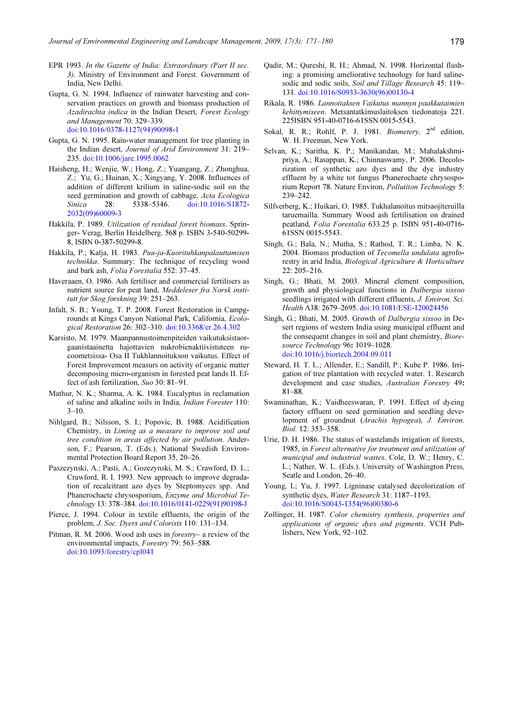- EPR 1993. In the Gazette of India: Extraordinary (Part II sec. 3). Ministry of Environment and Forest. Government of India, New Delhi.
- Gupta, G. N. 1994. Influence of rainwater harvesting and conservation practices on growth and biomass production of Azadirachta indica in the Indian Desert, Forest Ecology and Management 70: 329–339. doi:10.1016/0378-1127(94)90098-1
- Gupta, G. N. 1995. Rain-water management for tree planting in the Indian desert, Journal of Arid Environment 31: 219– 235. doi:10.1006/jare.1995.0062
- Haisheng, H.; Wenjie, W.; Hong, Z.; Yuangang, Z.; Zhonghua, Z.; Yu, G.; Huinan, X.; Xingyang, Y. 2008. Influences of addition of different krilium in saline-sodic soil on the seed germination and growth of cabbage, Acta Ecologica Sinica 28: 5338–5346. doi:10.1016/S1872- 2032(09)60009-3
- Hakkila, P. 1989. Utilization of residual forest biomass. Springer- Verag, Berlin Heidelberg. 568 p. ISBN 3-540-50299- 8, ISBN 0-387-50299-8.
- Hakkila, P.; Kalja, H. 1983. Puu-ja-Kuorituhkanpalauttamisen technikka. Summary: The technique of recycling wood and bark ash, Folia Forestalia 552: 37–45.
- Haveraaen, O. 1986. Ash fertiliser and commercial fertilisers as nutrient source for peat land, Meddeleser fra Norsk institutt for Skog forskning 39: 251–263.
- Infalt, S. B.; Young, T. P. 2008. Forest Restoration in Campgrounds at Kings Canyon National Park, California, Ecological Restoration 26: 302–310. doi:10.3368/er.26.4.302
- Karsisto, M. 1979. Maanpannustoimenpiteiden vaikutuksistaorgaanistaainetta hajottavien nukrobienaktiivistuteen rucoometsissa- Osa II Tukhlannoitukson vaikutus. Effect of Forest Improvement measurs on activity of organic matter decomposing micro-organism in forested peat lands II. Effect of ash fertilization, Suo 30: 81–91.
- Mathur, N. K.; Sharma, A. K. 1984. Eucalyptus in reclamation of saline and alkaline soils in India, Indian Forester 110:  $3 - 10$ .
- Nihlgard, B.; Nilsson, S. I.; Popovic, B. 1988. Acidification Chemistry, in Liming as a measure to improve soil and tree condition in areas affected by air pollution. Anderson, F.; Pearson, T. (Eds.). National Swedish Environmental Protection Board Report 35, 20–26.
- Paszezynski, A.; Pasti, A.; Gozezynski, M. S.; Crawford, D. L.; Crawford, R. I. 1993. New approach to improve degradation of recalcitrant azo dyes by Steptomyces spp. And Phanerochaete chrysosporium, Enzyme and Microbial Technology 13: 378–384. doi:10.1016/0141-0229(91)90198-J
- Pierce, J. 1994. Colour in textile effluents, the origin of the problem, J. Soc. Dyers and Colorists 110: 131–134.
- Pitman, R. M. 2006. Wood ash uses in forestry– a review of the environmental impacts, Forestry 79: 563–588. doi:10.1093/forestry/cpl041
- Qadir, M.; Qureshi, R. H.; Ahmad, N. 1998. Horizontal flushing: a promising ameliorative technology for hard salinesodic and sodic soils, Soil and Tillage Research 45: 119-131. doi:10.1016/S0933-3630(96)00130-4
- Rikala, R. 1986. Lannoitaksen Vaikutus mannyn paakkutaimien kehittymiseen. Metsantatkimuslaitoksen tiedonatoja 221. 225ISBN 951-40-0716-61SSN 0015-5543.
- Sokal, R. R.; Rohlf, P. J. 1981. Biometery. 2<sup>nd</sup> edition, W. H. Freeman, New York.
- Selvan, K.; Saritha, K. P.; Manikandan, M.; Mahalakshmipriya, A.; Rasappan, K.; Chinnaswamy, P. 2006. Decolorization of synthetic azo dyes and the dye industry effluent by a white tot fungus Phanerochaete chrysosporium Report 78. Nature Environ, Pollutiton Technology 5: 239–242.
- Silfverberg, K.; Huikari, O. 1985. Tukhalanoitus mitsaojiteruilla taruemailla. Summary Wood ash fertilisation on drained peatland, Folia Forestalia 633.25 p. ISBN 951-40-0716- 61SSN 0015-5543.
- Singh, G.; Bala, N.; Mutha, S.; Rathod, T. R.; Limba, N. K. 2004. Biomass production of Tecomella undulata agroforestry in arid India, Biological Agriculture & Horticulture 22: 205–216.
- Singh, G.; Bhati, M. 2003. Mineral element composition, growth and physiological functions in Dalbergia sissoo seedlings irrigated with different effluents, J. Environ. Sci. Health A38: 2679–2695. doi:10.1081/ESE-120024456
- Singh, G.; Bhati, M. 2005. Growth of Dalbergia sissoo in Desert regions of western India using municipal effluent and the consequent changes in soil and plant chemistry, *Biore*source Technology 96: 1019–1028. doi:10.1016/j.biortech.2004.09.011
- Steward, H. T. L.; Allender, E.; Sandill, P.; Kube P. 1986. Irrigation of tree plantation with recycled water. 1. Research development and case studies, Australian Forestry 49: 81–88.
- Swaminathan, K.; Vaidheeswaran, P. 1991. Effect of dyeing factory effluent on seed germination and seedling development of groundnut (Arachis hypogea), J. Environ. Biol. 12: 353–358.
- Urie, D. H. 1986. The status of wastelands irrigation of forests, 1985, in Forest alternative for treatment and utilization of municipal and industrial wastes. Cole, D. W.; Henry, C. L.; Nather, W. L. (Eds.). University of Washington Press, Seatle and London, 26–40.
- Young, L; Yu, J. 1997. Ligninase catalysed decolorization of synthetic dyes, Water Research 31: 1187–1193. doi:10.1016/S0043-1354(96)00380-6
- Zollinger, H. 1987. Color chemistry synthesis, properties and applications of organic dyes and pigments. VCH Publishers, New York, 92–102.